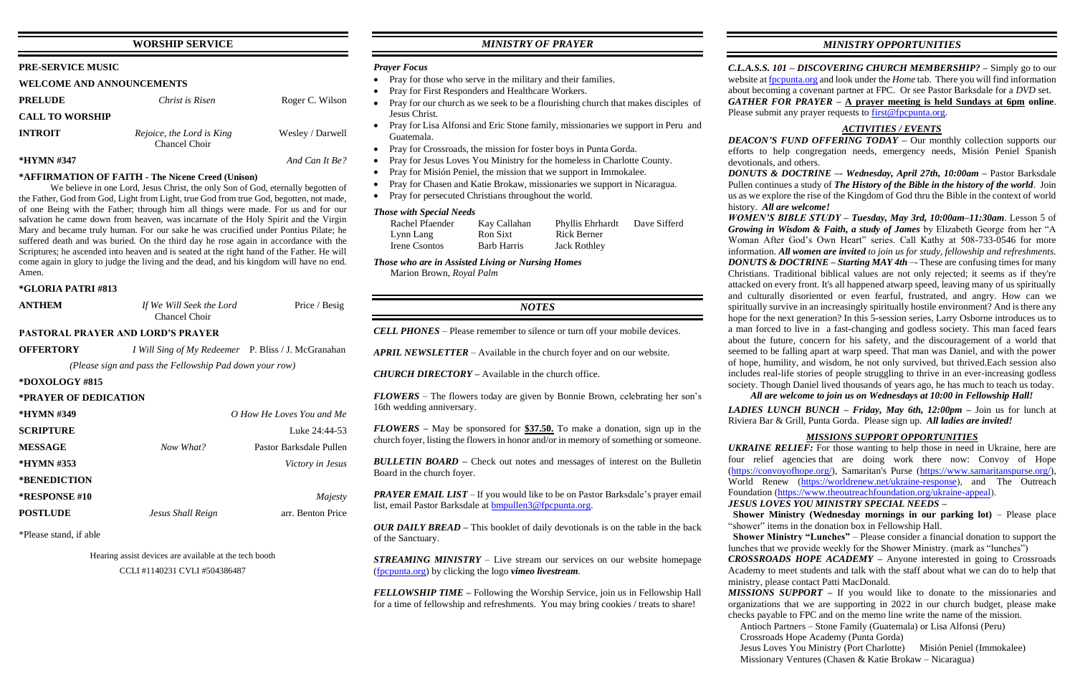## **WORSHIP SERVICE**

## **PRE-SERVICE MUSIC**

### **WELCOME AND ANNOUNCEMENTS**

| <b>PRELUDE</b>         | Christ is Risen                            | Roger C. Wilson  |
|------------------------|--------------------------------------------|------------------|
| <b>CALL TO WORSHIP</b> |                                            |                  |
| <b>INTROIT</b>         | Rejoice, the Lord is King<br>Chancel Choir | Wesley / Darwell |
| *HYMN #347             |                                            | And Can It Be?   |

### **\*AFFIRMATION OF FAITH - The Nicene Creed (Unison)**

We believe in one Lord, Jesus Christ, the only Son of God, eternally begotten of the Father, God from God, Light from Light, true God from true God, begotten, not made, of one Being with the Father; through him all things were made. For us and for our salvation he came down from heaven, was incarnate of the Holy Spirit and the Virgin Mary and became truly human. For our sake he was crucified under Pontius Pilate; he suffered death and was buried. On the third day he rose again in accordance with the Scriptures; he ascended into heaven and is seated at the right hand of the Father. He will come again in glory to judge the living and the dead, and his kingdom will have no end. Amen.

### **\*GLORIA PATRI #813**

| <b>ANTHEM</b> | If We Will Seek the Lord | Price / Besig |
|---------------|--------------------------|---------------|
| Chancel Choir |                          |               |

## **PASTORAL PRAYER AND LORD'S PRAYER**

**OFFERTORY** *I Will Sing of My Redeemer* P. Bliss / J. McGranahan *(Please sign and pass the Fellowship Pad down your row)*

### **\*DOXOLOGY #815**

### **\*PRAYER OF DEDICATION**

| *HYMN #349             |                   | O How He Loves You and Me |
|------------------------|-------------------|---------------------------|
| <b>SCRIPTURE</b>       |                   | Luke 24:44-53             |
| <b>MESSAGE</b>         | Now What?         | Pastor Barksdale Pullen   |
| *HYMN #353             |                   | Victory in Jesus          |
| *BENEDICTION           |                   |                           |
| <b>*RESPONSE #10</b>   |                   | Majesty                   |
| <b>POSTLUDE</b>        | Jesus Shall Reign | arr. Benton Price         |
| *Please stand, if able |                   |                           |

Hearing assist devices are available at the tech booth CCLI #1140231 CVLI #504386487

## *MINISTRY OF PRAYER*

### *Prayer Focus*

- Pray for those who serve in the military and their families.
- Pray for First Responders and Healthcare Workers.
- Pray for our church as we seek to be a flourishing church that makes disciples of Jesus Christ.
- Pray for Lisa Alfonsi and Eric Stone family, missionaries we support in Peru and Guatemala.
- Pray for Crossroads, the mission for foster boys in Punta Gorda.
- Pray for Jesus Loves You Ministry for the homeless in Charlotte County.
- Pray for Misión Peniel, the mission that we support in Immokalee.
- Pray for Chasen and Katie Brokaw, missionaries we support in Nicaragua.
- Pray for persecuted Christians throughout the world.

*PRAYER EMAIL LIST* – If you would like to be on Pastor Barksdale's prayer email list, email Pastor Barksdale at [bmpullen3@fpcpunta.org.](about:blank)

*C.L.A.S.S. 101 – DISCOVERING CHURCH MEMBERSHIP? –* Simply go to our website a[t fpcpunta.org](about:blank) and look under the *Home* tab. There you will find information about becoming a covenant partner at FPC. Or see Pastor Barksdale for a *DVD* set. *GATHER FOR PRAYER –* **A prayer meeting is held Sundays at 6pm online**. Please submit any prayer requests to [first@fpcpunta.org.](about:blank)

### *Those with Special Needs*

| Rachel Pfaender | Kay Callahan | Phyllis Ehrhardt    | Dave Sifferd |
|-----------------|--------------|---------------------|--------------|
| Lynn Lang       | Ron Sixt     | Rick Berner         |              |
| Irene Csontos   | Barb Harris  | <b>Jack Rothley</b> |              |

*Those who are in Assisted Living or Nursing Homes* Marion Brown, *Royal Palm*

## *NOTES*

*CELL PHONES –* Please remember to silence or turn off your mobile devices.

*APRIL NEWSLETTER –* Available in the church foyer and on our website.

*CHURCH DIRECTORY –* Available in the church office.

*FLOWERS* – The flowers today are given by Bonnie Brown, celebrating her son's 16th wedding anniversary.

*FLOWERS –* May be sponsored for **\$37.50.** To make a donation, sign up in the church foyer, listing the flowers in honor and/or in memory of something or someone.

*BULLETIN BOARD –* Check out notes and messages of interest on the Bulletin Board in the church foyer.

*OUR DAILY BREAD –* This booklet of daily devotionals is on the table in the back of the Sanctuary.

*STREAMING MINISTRY –* Live stream our services on our website homepage [\(fpcpunta.org\)](about:blank) by clicking the logo *vimeo livestream.*

*FELLOWSHIP TIME –* Following the Worship Service, join us in Fellowship Hall for a time of fellowship and refreshments. You may bring cookies / treats to share!

*MINISTRY OPPORTUNITIES*

## *ACTIVITIES / EVENTS*

*DEACON'S FUND OFFERING TODAY* – Our monthly collection supports our

efforts to help congregation needs, emergency needs, Misión Peniel Spanish devotionals, and others. *DONUTS & DOCTRINE –*- *Wednesday, April 27th, 10:00am –* Pastor Barksdale Pullen continues a study of *The History of the Bible in the history of the world*. Join us as we explore the rise of the Kingdom of God thru the Bible in the context of world history. *All are welcome! WOMEN'S BIBLE STUDY – Tuesday, May 3rd, 10:00am–11:30am*. Lesson 5 of *Growing in Wisdom & Faith, a study of James* by Elizabeth George from her "A Woman After God's Own Heart" series. Call Kathy at 508-733-0546 for more information. *All women are invited to join us for study, fellowship and refreshments. DONUTS & DOCTRINE – Starting MAY 4th –* These are confusing times for many Christians. Traditional biblical values are not only rejected; it seems as if they're attacked on every front. It's all happened atwarp speed, leaving many of us spiritually and culturally disoriented or even fearful, frustrated, and angry. How can we spiritually survive in an increasingly spiritually hostile environment? And is there any hope for the next generation? In this 5-session series, Larry Osborne introduces us to a man forced to live in a fast-changing and godless society. This man faced fears about the future, concern for his safety, and the discouragement of a world that seemed to be falling apart at warp speed. That man was Daniel, and with the power of hope, humility, and wisdom, he not only survived, but thrived.Each session also includes real-life stories of people struggling to thrive in an ever-increasing godless society. Though Daniel lived thousands of years ago, he has much to teach us today.

*All are welcome to join us on Wednesdays at 10:00 in Fellowship Hall! LADIES LUNCH BUNCH – Friday, May 6th, 12:00pm –* Join us for lunch at Riviera Bar & Grill, Punta Gorda. Please sign up. *All ladies are invited!*

## *MISSIONS SUPPORT OPPORTUNITIES*

*UKRAINE RELIEF:* For those wanting to help those in need in Ukraine, here are four relief agencies that are doing work there now: Convoy of Hope

[\(https://convoyofhope.org/\)](https://convoyofhope.org/), Samaritan's Purse [\(https://www.samaritanspurse.org/\)](https://www.samaritanspurse.org/), World Renew [\(https://worldrenew.net/ukraine-response\)](https://worldrenew.net/ukraine-response), and The Outreach Foundation [\(https://www.theoutreachfoundation.org/ukraine-appeal\)](https://www.theoutreachfoundation.org/ukraine-appeal). *JESUS LOVES YOU MINISTRY SPECIAL NEEDS –*  **Shower Ministry (Wednesday mornings in our parking lot)** – Please place "shower" items in the donation box in Fellowship Hall.  **Shower Ministry "Lunches"** – Please consider a financial donation to support the lunches that we provide weekly for the Shower Ministry. (mark as "lunches") *CROSSROADS HOPE ACADEMY –* Anyone interested in going to Crossroads Academy to meet students and talk with the staff about what we can do to help that ministry, please contact Patti MacDonald. *MISSIONS SUPPORT –* If you would like to donate to the missionaries and organizations that we are supporting in 2022 in our church budget, please make checks payable to FPC and on the memo line write the name of the mission. Antioch Partners – Stone Family (Guatemala) or Lisa Alfonsi (Peru) Crossroads Hope Academy (Punta Gorda) Jesus Loves You Ministry (Port Charlotte) Misión Peniel (Immokalee) Missionary Ventures (Chasen & Katie Brokaw – Nicaragua)